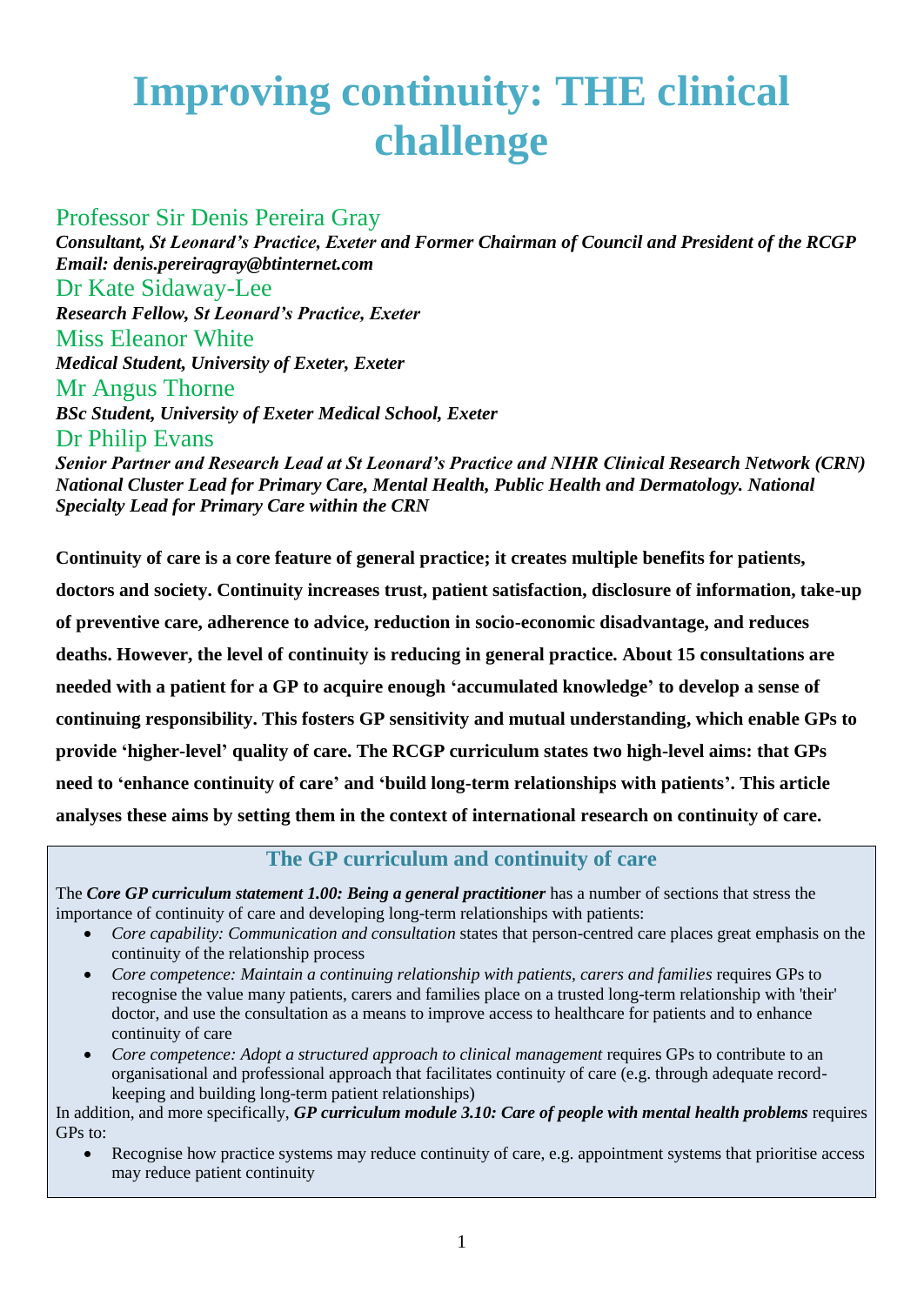# **Improving continuity: THE clinical challenge**

#### Professor Sir Denis Pereira Gray

*Consultant, St Leonard's Practice, Exeter and Former Chairman of Council and President of the RCGP Email: denis.pereiragray@btinternet.com* Dr Kate Sidaway-Lee *Research Fellow, St Leonard's Practice, Exeter* Miss Eleanor White *Medical Student, University of Exeter, Exeter* Mr Angus Thorne *BSc Student, University of Exeter Medical School, Exeter* Dr Philip Evans *Senior Partner and Research Lead at St Leonard's Practice and NIHR Clinical Research Network (CRN) National Cluster Lead for Primary Care, Mental Health, Public Health and Dermatology. National* 

*Specialty Lead for Primary Care within the CRN*

**Continuity of care is a core feature of general practice; it creates multiple benefits for patients, doctors and society. Continuity increases trust, patient satisfaction, disclosure of information, take-up of preventive care, adherence to advice, reduction in socio-economic disadvantage, and reduces deaths. However, the level of continuity is reducing in general practice. About 15 consultations are needed with a patient for a GP to acquire enough 'accumulated knowledge' to develop a sense of continuing responsibility. This fosters GP sensitivity and mutual understanding, which enable GPs to provide 'higher-level' quality of care. The RCGP curriculum states two high-level aims: that GPs need to 'enhance continuity of care' and 'build long-term relationships with patients'. This article analyses these aims by setting them in the context of international research on continuity of care.**

#### **The GP curriculum and continuity of care**

The *Core GP curriculum statement 1.00: Being a general practitioner* has a number of sections that stress the importance of continuity of care and developing long-term relationships with patients:

- *Core capability: Communication and consultation* states that person-centred care places great emphasis on the continuity of the relationship process
- *Core competence: Maintain a continuing relationship with patients, carers and families* requires GPs to recognise the value many patients, carers and families place on a trusted long-term relationship with 'their' doctor, and use the consultation as a means to improve access to healthcare for patients and to enhance continuity of care
- *Core competence: Adopt a structured approach to clinical management* requires GPs to contribute to an organisational and professional approach that facilitates continuity of care (e.g. through adequate recordkeeping and building long-term patient relationships)

In addition, and more specifically, *GP curriculum module 3.10: Care of people with mental health problems* requires GPs to:

 Recognise how practice systems may reduce continuity of care, e.g. appointment systems that prioritise access may reduce patient continuity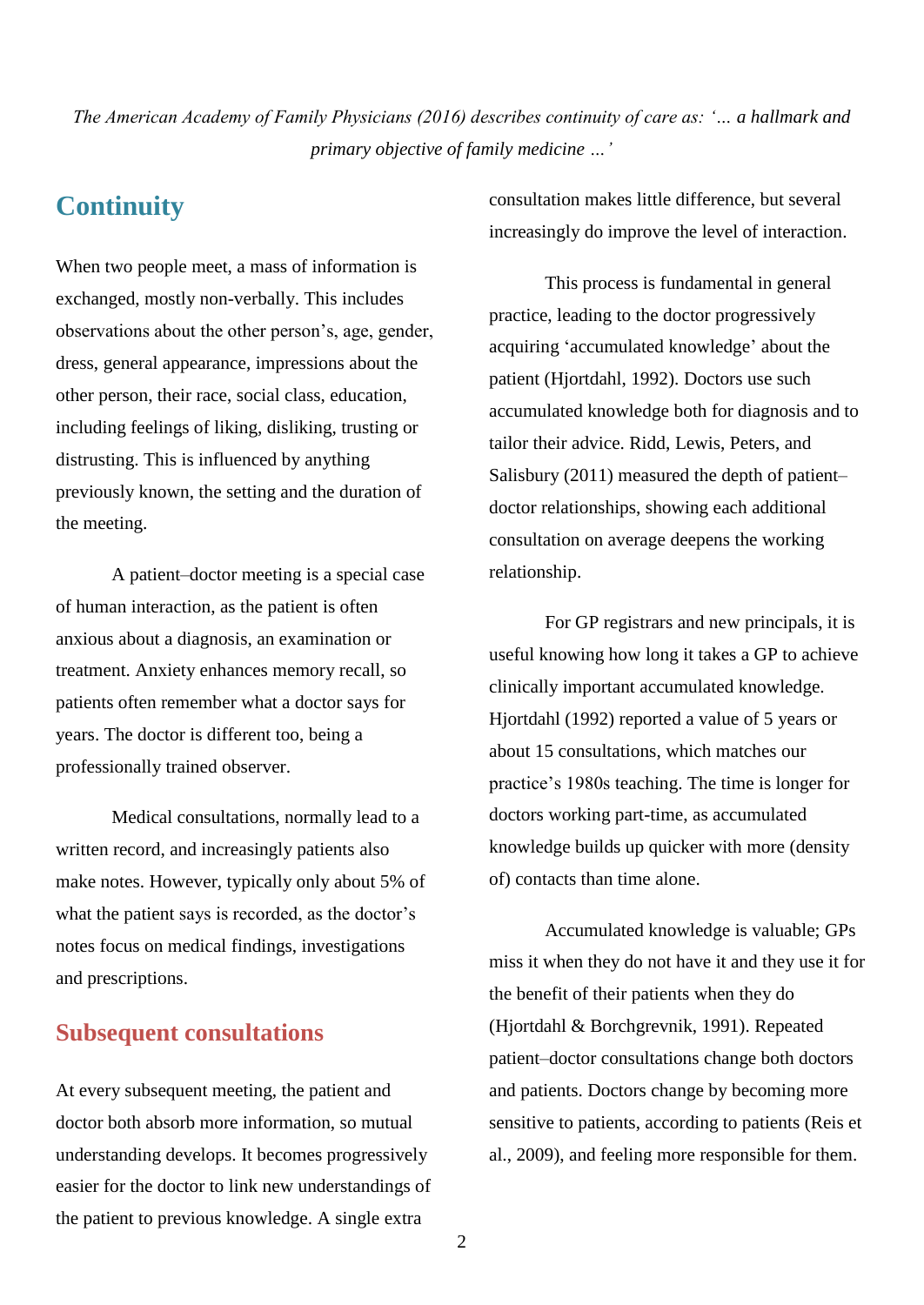*The American Academy of Family Physicians (2016) describes continuity of care as: '… a hallmark and primary objective of family medicine …'*

## **Continuity**

When two people meet, a mass of information is exchanged, mostly non-verbally. This includes observations about the other person's, age, gender, dress, general appearance, impressions about the other person, their race, social class, education, including feelings of liking, disliking, trusting or distrusting. This is influenced by anything previously known, the setting and the duration of the meeting.

A patient–doctor meeting is a special case of human interaction, as the patient is often anxious about a diagnosis, an examination or treatment. Anxiety enhances memory recall, so patients often remember what a doctor says for years. The doctor is different too, being a professionally trained observer.

Medical consultations, normally lead to a written record, and increasingly patients also make notes. However, typically only about 5% of what the patient says is recorded, as the doctor's notes focus on medical findings, investigations and prescriptions.

#### **Subsequent consultations**

At every subsequent meeting, the patient and doctor both absorb more information, so mutual understanding develops. It becomes progressively easier for the doctor to link new understandings of the patient to previous knowledge. A single extra

consultation makes little difference, but several increasingly do improve the level of interaction.

This process is fundamental in general practice, leading to the doctor progressively acquiring 'accumulated knowledge' about the patient (Hjortdahl, 1992). Doctors use such accumulated knowledge both for diagnosis and to tailor their advice. Ridd, Lewis, Peters, and Salisbury (2011) measured the depth of patient– doctor relationships, showing each additional consultation on average deepens the working relationship.

For GP registrars and new principals, it is useful knowing how long it takes a GP to achieve clinically important accumulated knowledge. Hjortdahl (1992) reported a value of 5 years or about 15 consultations, which matches our practice's 1980s teaching. The time is longer for doctors working part-time, as accumulated knowledge builds up quicker with more (density of) contacts than time alone.

Accumulated knowledge is valuable; GPs miss it when they do not have it and they use it for the benefit of their patients when they do (Hjortdahl & Borchgrevnik, 1991). Repeated patient–doctor consultations change both doctors and patients. Doctors change by becoming more sensitive to patients, according to patients (Reis et al., 2009), and feeling more responsible for them.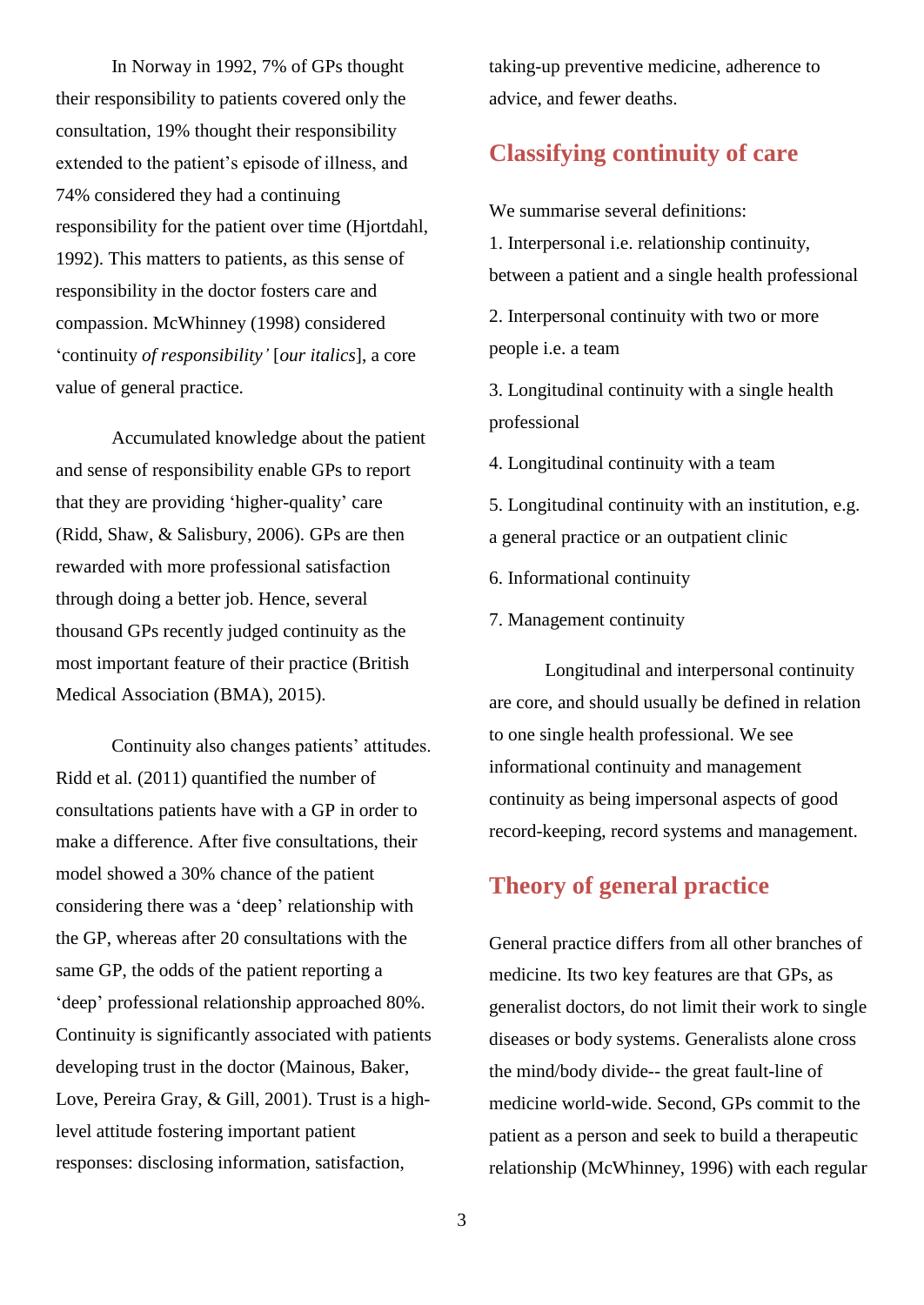In Norway in 1992, 7% of GPs thought their responsibility to patients covered only the consultation, 19% thought their responsibility extended to the patient's episode of illness, and 74% considered they had a continuing responsibility for the patient over time (Hjortdahl, 1992). This matters to patients, as this sense of responsibility in the doctor fosters care and compassion. McWhinney (1998) considered 'continuity *of responsibility'* [*our italics*], a core value of general practice.

Accumulated knowledge about the patient and sense of responsibility enable GPs to report that they are providing 'higher-quality' care (Ridd, Shaw, & Salisbury, 2006). GPs are then rewarded with more professional satisfaction through doing a better job. Hence, several thousand GPs recently judged continuity as the most important feature of their practice (British Medical Association (BMA), 2015).

Continuity also changes patients' attitudes. Ridd et al*.* (2011) quantified the number of consultations patients have with a GP in order to make a difference. After five consultations, their model showed a 30% chance of the patient considering there was a 'deep' relationship with the GP, whereas after 20 consultations with the same GP, the odds of the patient reporting a 'deep' professional relationship approached 80%. Continuity is significantly associated with patients developing trust in the doctor (Mainous, Baker, Love, Pereira Gray, & Gill*,* 2001). Trust is a highlevel attitude fostering important patient responses: disclosing information, satisfaction,

taking-up preventive medicine, adherence to advice, and fewer deaths.

### **Classifying continuity of care**

We summarise several definitions: 1. Interpersonal i.e. relationship continuity, between a patient and a single health professional

2. Interpersonal continuity with two or more people i.e. a team

3. Longitudinal continuity with a single health professional

4. Longitudinal continuity with a team

5. Longitudinal continuity with an institution, e.g. a general practice or an outpatient clinic

6. Informational continuity

7. Management continuity

Longitudinal and interpersonal continuity are core, and should usually be defined in relation to one single health professional. We see informational continuity and management continuity as being impersonal aspects of good record-keeping, record systems and management.

#### **Theory of general practice**

General practice differs from all other branches of medicine. Its two key features are that GPs, as generalist doctors, do not limit their work to single diseases or body systems. Generalists alone cross the mind/body divide-- the great fault-line of medicine world-wide. Second, GPs commit to the patient as a person and seek to build a therapeutic relationship (McWhinney, 1996) with each regular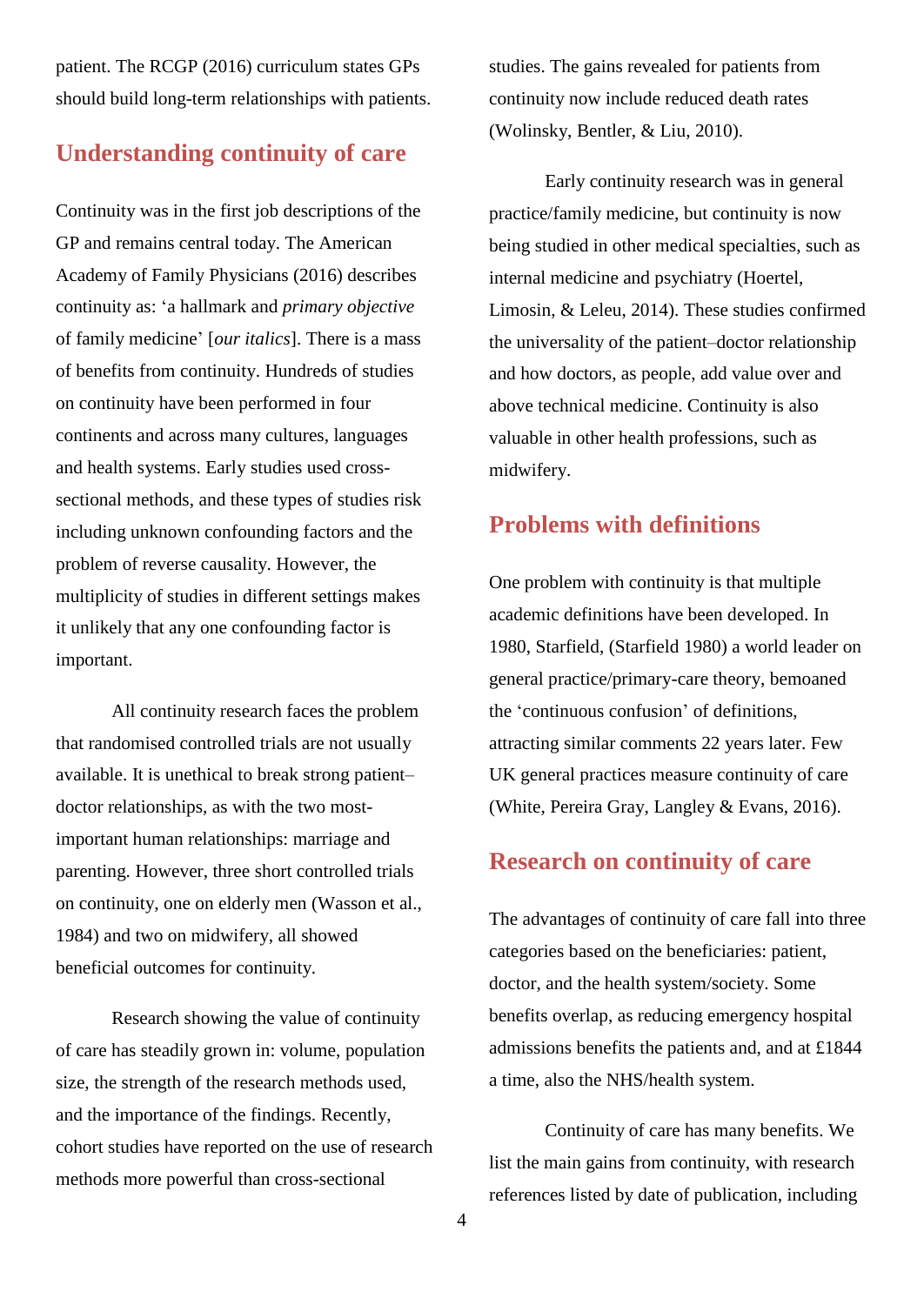patient. The RCGP (2016) curriculum states GPs should build long-term relationships with patients.

#### **Understanding continuity of care**

Continuity was in the first job descriptions of the GP and remains central today. The American Academy of Family Physicians (2016) describes continuity as: 'a hallmark and *primary objective* of family medicine' [*our italics*]. There is a mass of benefits from continuity. Hundreds of studies on continuity have been performed in four continents and across many cultures, languages and health systems. Early studies used crosssectional methods, and these types of studies risk including unknown confounding factors and the problem of reverse causality. However, the multiplicity of studies in different settings makes it unlikely that any one confounding factor is important.

All continuity research faces the problem that randomised controlled trials are not usually available. It is unethical to break strong patient– doctor relationships, as with the two mostimportant human relationships: marriage and parenting. However, three short controlled trials on continuity, one on elderly men (Wasson et al., 1984) and two on midwifery, all showed beneficial outcomes for continuity.

Research showing the value of continuity of care has steadily grown in: volume, population size, the strength of the research methods used, and the importance of the findings. Recently, cohort studies have reported on the use of research methods more powerful than cross-sectional

studies. The gains revealed for patients from continuity now include reduced death rates (Wolinsky, Bentler, & Liu, 2010).

Early continuity research was in general practice/family medicine, but continuity is now being studied in other medical specialties, such as internal medicine and psychiatry (Hoertel, Limosin, & Leleu, 2014). These studies confirmed the universality of the patient–doctor relationship and how doctors, as people, add value over and above technical medicine. Continuity is also valuable in other health professions, such as midwifery.

#### **Problems with definitions**

One problem with continuity is that multiple academic definitions have been developed. In 1980, Starfield, (Starfield 1980) a world leader on general practice/primary-care theory, bemoaned the 'continuous confusion' of definitions, attracting similar comments 22 years later. Few UK general practices measure continuity of care (White, Pereira Gray, Langley & Evans, 2016).

#### **Research on continuity of care**

The advantages of continuity of care fall into three categories based on the beneficiaries: patient, doctor, and the health system/society. Some benefits overlap, as reducing emergency hospital admissions benefits the patients and, and at £1844 a time, also the NHS/health system.

Continuity of care has many benefits. We list the main gains from continuity, with research references listed by date of publication, including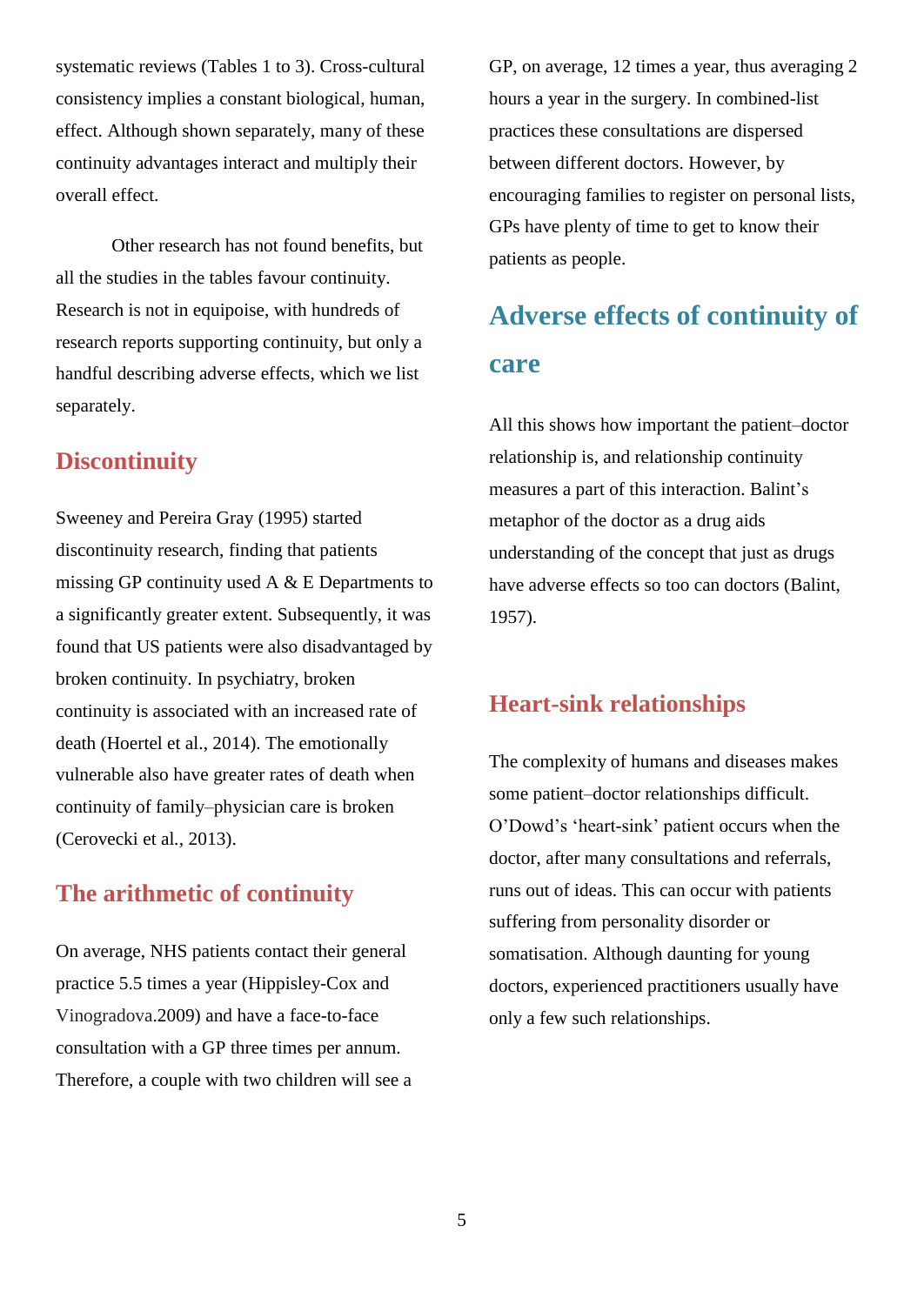systematic reviews (Tables 1 to 3). Cross-cultural consistency implies a constant biological, human, effect. Although shown separately, many of these continuity advantages interact and multiply their overall effect.

Other research has not found benefits, but all the studies in the tables favour continuity. Research is not in equipoise, with hundreds of research reports supporting continuity, but only a handful describing adverse effects, which we list separately.

#### **Discontinuity**

Sweeney and Pereira Gray (1995) started discontinuity research, finding that patients missing GP continuity used A & E Departments to a significantly greater extent. Subsequently, it was found that US patients were also disadvantaged by broken continuity. In psychiatry, broken continuity is associated with an increased rate of death (Hoertel et al., 2014). The emotionally vulnerable also have greater rates of death when continuity of family–physician care is broken (Cerovecki et al*.,* 2013).

### **The arithmetic of continuity**

On average, NHS patients contact their general practice 5.5 times a year (Hippisley-Cox and Vinogradova.2009) and have a face-to-face consultation with a GP three times per annum. Therefore, a couple with two children will see a GP, on average, 12 times a year, thus averaging 2 hours a year in the surgery. In combined-list practices these consultations are dispersed between different doctors. However, by encouraging families to register on personal lists, GPs have plenty of time to get to know their patients as people.

## **Adverse effects of continuity of care**

All this shows how important the patient–doctor relationship is, and relationship continuity measures a part of this interaction. Balint's metaphor of the doctor as a drug aids understanding of the concept that just as drugs have adverse effects so too can doctors (Balint, 1957).

#### **Heart-sink relationships**

The complexity of humans and diseases makes some patient–doctor relationships difficult. O'Dowd's 'heart-sink' patient occurs when the doctor, after many consultations and referrals, runs out of ideas. This can occur with patients suffering from personality disorder or somatisation. Although daunting for young doctors, experienced practitioners usually have only a few such relationships.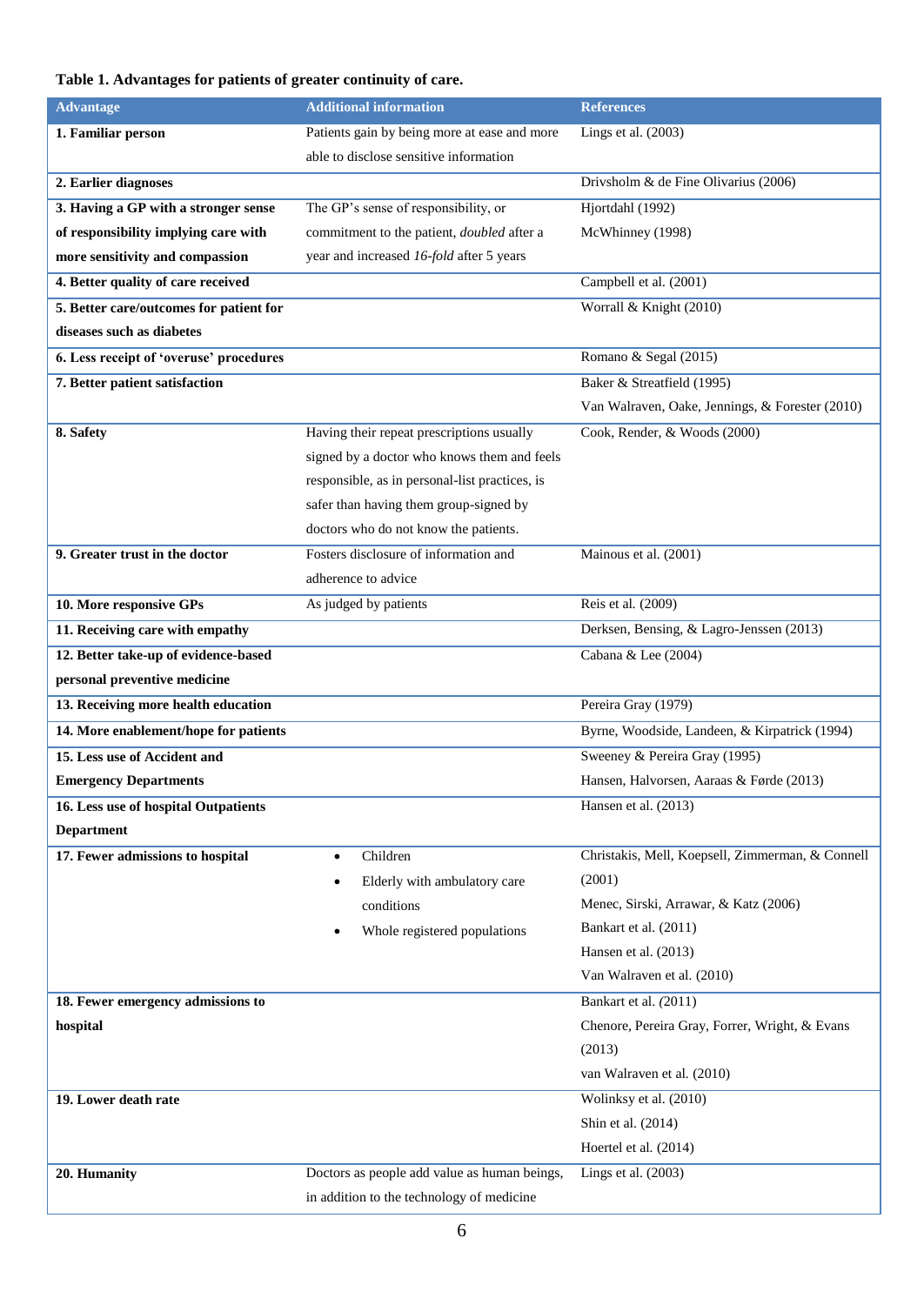#### **Table 1. Advantages for patients of greater continuity of care.**

| <b>Advantage</b>                        | <b>Additional information</b>                  | <b>References</b>                                |
|-----------------------------------------|------------------------------------------------|--------------------------------------------------|
| 1. Familiar person                      | Patients gain by being more at ease and more   | Lings et al. (2003)                              |
|                                         | able to disclose sensitive information         |                                                  |
| 2. Earlier diagnoses                    |                                                | Drivsholm & de Fine Olivarius (2006)             |
| 3. Having a GP with a stronger sense    | The GP's sense of responsibility, or           | Hjortdahl (1992)                                 |
| of responsibility implying care with    | commitment to the patient, doubled after a     | McWhinney (1998)                                 |
| more sensitivity and compassion         | year and increased 16-fold after 5 years       |                                                  |
| 4. Better quality of care received      |                                                | Campbell et al. (2001)                           |
| 5. Better care/outcomes for patient for |                                                | Worrall & Knight (2010)                          |
| diseases such as diabetes               |                                                |                                                  |
| 6. Less receipt of 'overuse' procedures |                                                | Romano & Segal (2015)                            |
| 7. Better patient satisfaction          |                                                | Baker & Streatfield (1995)                       |
|                                         |                                                | Van Walraven, Oake, Jennings, & Forester (2010)  |
| 8. Safety                               | Having their repeat prescriptions usually      | Cook, Render, & Woods (2000)                     |
|                                         | signed by a doctor who knows them and feels    |                                                  |
|                                         | responsible, as in personal-list practices, is |                                                  |
|                                         | safer than having them group-signed by         |                                                  |
|                                         | doctors who do not know the patients.          |                                                  |
| 9. Greater trust in the doctor          | Fosters disclosure of information and          | Mainous et al. (2001)                            |
|                                         | adherence to advice                            |                                                  |
| 10. More responsive GPs                 | As judged by patients                          | Reis et al. (2009)                               |
| 11. Receiving care with empathy         |                                                | Derksen, Bensing, & Lagro-Jenssen (2013)         |
| 12. Better take-up of evidence-based    |                                                | Cabana & Lee (2004)                              |
| personal preventive medicine            |                                                |                                                  |
| 13. Receiving more health education     |                                                | Pereira Gray (1979)                              |
| 14. More enablement/hope for patients   |                                                | Byrne, Woodside, Landeen, & Kirpatrick (1994)    |
| 15. Less use of Accident and            |                                                | Sweeney & Pereira Gray (1995)                    |
| <b>Emergency Departments</b>            |                                                | Hansen, Halvorsen, Aaraas & Førde (2013)         |
| 16. Less use of hospital Outpatients    |                                                | Hansen et al. (2013)                             |
| <b>Department</b>                       |                                                |                                                  |
| 17. Fewer admissions to hospital        | Children<br>$\bullet$                          | Christakis, Mell, Koepsell, Zimmerman, & Connell |
|                                         | Elderly with ambulatory care<br>٠              | (2001)                                           |
|                                         | conditions                                     | Menec, Sirski, Arrawar, & Katz (2006)            |
|                                         | Whole registered populations                   | Bankart et al. (2011)                            |
|                                         |                                                | Hansen et al. (2013)                             |
|                                         |                                                | Van Walraven et al. (2010)                       |
| 18. Fewer emergency admissions to       |                                                | Bankart et al. (2011)                            |
| hospital                                |                                                | Chenore, Pereira Gray, Forrer, Wright, & Evans   |
|                                         |                                                | (2013)                                           |
|                                         |                                                | van Walraven et al. (2010)                       |
| 19. Lower death rate                    |                                                | Wolinksy et al. (2010)                           |
|                                         |                                                | Shin et al. (2014)                               |
|                                         |                                                | Hoertel et al. (2014)                            |
| 20. Humanity                            | Doctors as people add value as human beings,   | Lings et al. (2003)                              |
|                                         | in addition to the technology of medicine      |                                                  |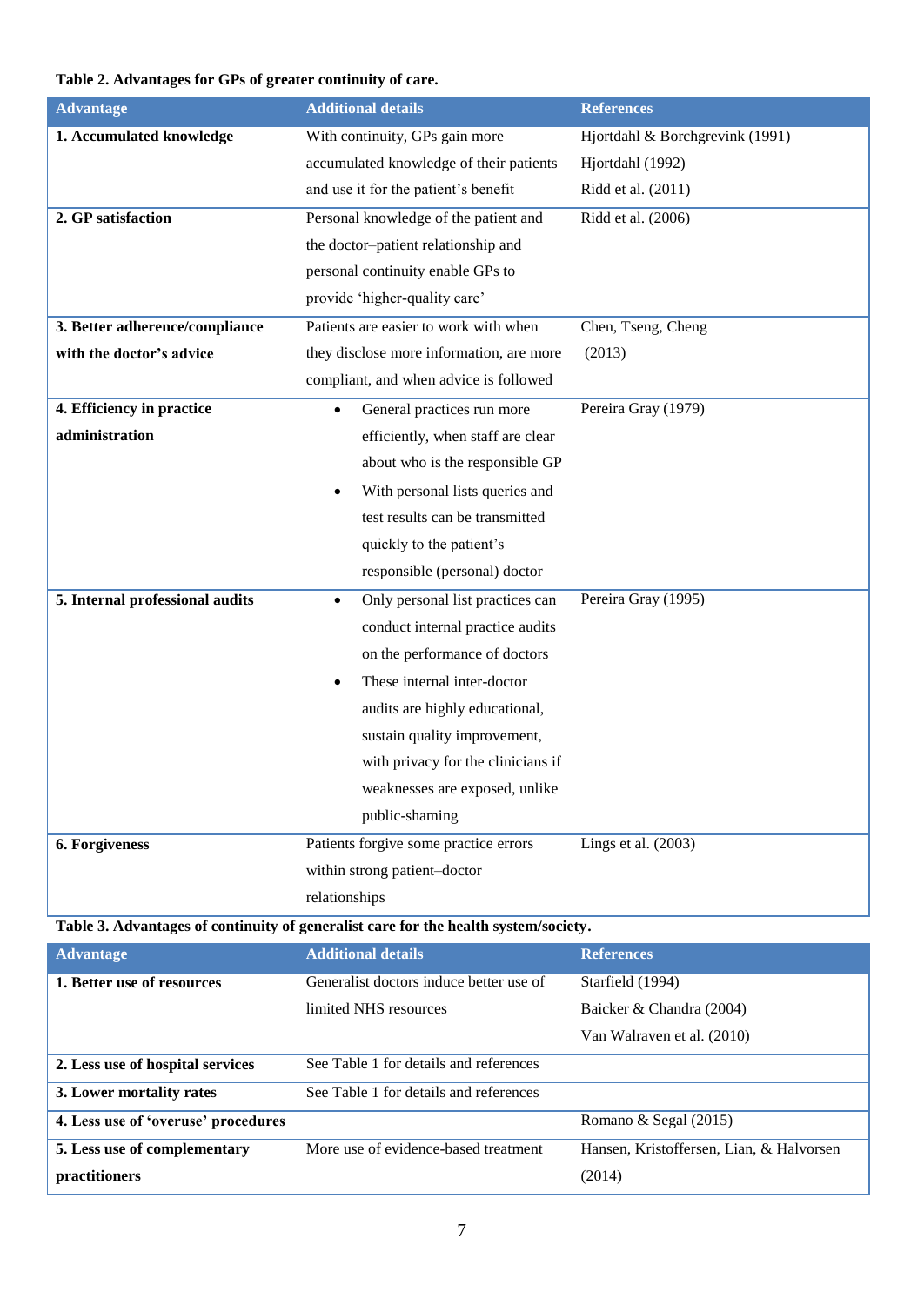#### **Table 2. Advantages for GPs of greater continuity of care.**

| <b>Advantage</b>                | <b>Additional details</b>                     | <b>References</b>               |
|---------------------------------|-----------------------------------------------|---------------------------------|
| 1. Accumulated knowledge        | With continuity, GPs gain more                | Hjortdahl & Borchgrevink (1991) |
|                                 | accumulated knowledge of their patients       | Hjortdahl (1992)                |
|                                 | and use it for the patient's benefit          | Ridd et al. (2011)              |
| 2. GP satisfaction              | Personal knowledge of the patient and         | Ridd et al. (2006)              |
|                                 | the doctor-patient relationship and           |                                 |
|                                 | personal continuity enable GPs to             |                                 |
|                                 | provide 'higher-quality care'                 |                                 |
| 3. Better adherence/compliance  | Patients are easier to work with when         | Chen, Tseng, Cheng              |
| with the doctor's advice        | they disclose more information, are more      | (2013)                          |
|                                 | compliant, and when advice is followed        |                                 |
| 4. Efficiency in practice       | General practices run more<br>$\bullet$       | Pereira Gray (1979)             |
| administration                  | efficiently, when staff are clear             |                                 |
|                                 | about who is the responsible GP               |                                 |
|                                 | With personal lists queries and<br>$\bullet$  |                                 |
|                                 | test results can be transmitted               |                                 |
|                                 | quickly to the patient's                      |                                 |
|                                 | responsible (personal) doctor                 |                                 |
| 5. Internal professional audits | Only personal list practices can<br>$\bullet$ | Pereira Gray (1995)             |
|                                 | conduct internal practice audits              |                                 |
|                                 | on the performance of doctors                 |                                 |
|                                 | These internal inter-doctor                   |                                 |
|                                 | audits are highly educational,                |                                 |
|                                 | sustain quality improvement,                  |                                 |
|                                 | with privacy for the clinicians if            |                                 |
|                                 | weaknesses are exposed, unlike                |                                 |
|                                 | public-shaming                                |                                 |
| 6. Forgiveness                  | Patients forgive some practice errors         | Lings et al. (2003)             |
|                                 | within strong patient-doctor                  |                                 |
|                                 | relationships                                 |                                 |

#### **Table 3. Advantages of continuity of generalist care for the health system/society.**

| <b>Advantage</b>                    | <b>Additional details</b>               | <b>References</b>                        |
|-------------------------------------|-----------------------------------------|------------------------------------------|
| 1. Better use of resources          | Generalist doctors induce better use of | Starfield (1994)                         |
|                                     | limited NHS resources                   | Baicker & Chandra (2004)                 |
|                                     |                                         | Van Walraven et al. (2010)               |
| 2. Less use of hospital services    | See Table 1 for details and references  |                                          |
| 3. Lower mortality rates            | See Table 1 for details and references  |                                          |
| 4. Less use of 'overuse' procedures |                                         | Romano & Segal (2015)                    |
| 5. Less use of complementary        | More use of evidence-based treatment    | Hansen, Kristoffersen, Lian, & Halvorsen |
| practitioners                       |                                         | (2014)                                   |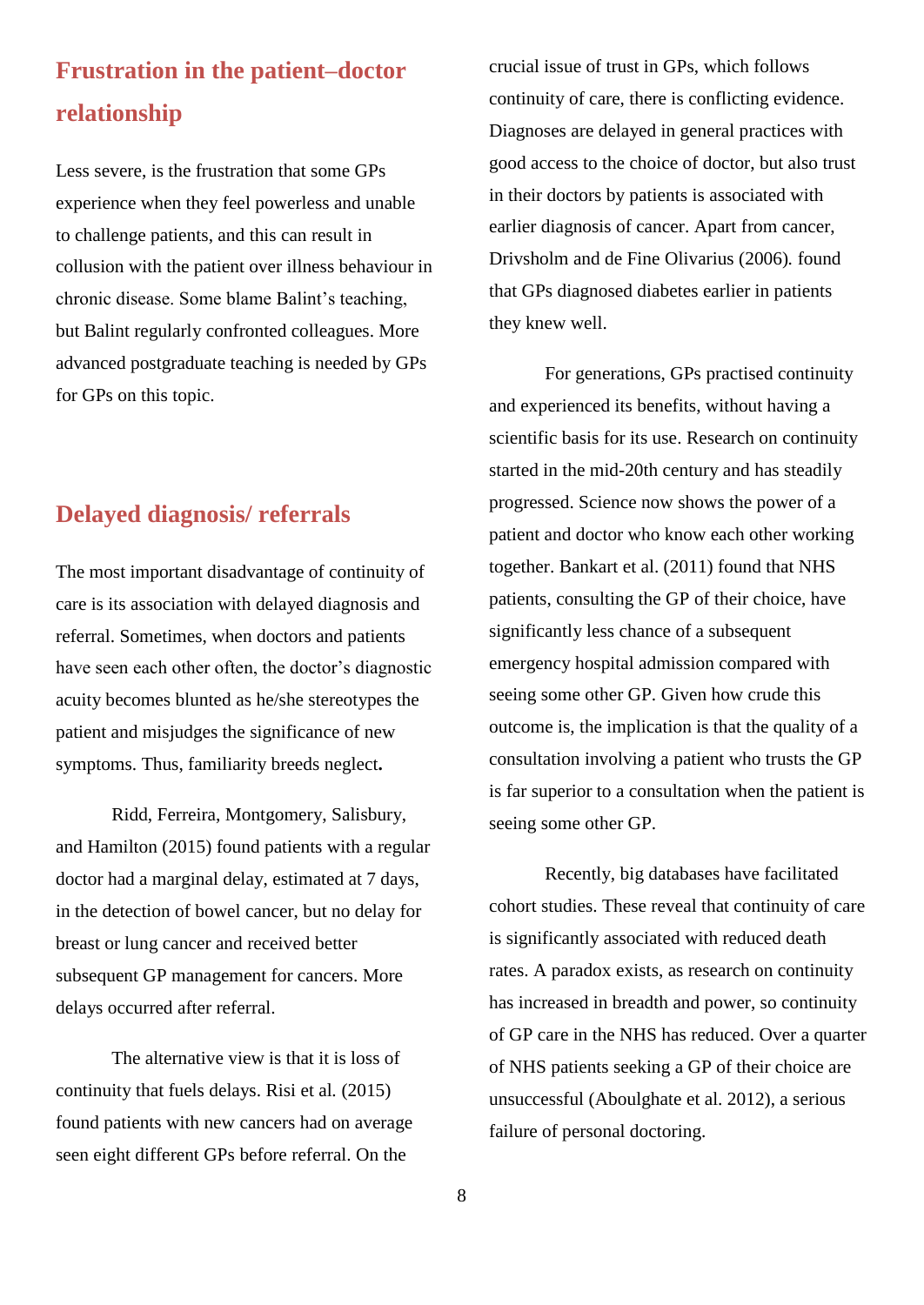## **Frustration in the patient–doctor relationship**

Less severe, is the frustration that some GPs experience when they feel powerless and unable to challenge patients, and this can result in collusion with the patient over illness behaviour in chronic disease. Some blame Balint's teaching, but Balint regularly confronted colleagues. More advanced postgraduate teaching is needed by GPs for GPs on this topic.

### **Delayed diagnosis/ referrals**

The most important disadvantage of continuity of care is its association with delayed diagnosis and referral. Sometimes, when doctors and patients have seen each other often, the doctor's diagnostic acuity becomes blunted as he/she stereotypes the patient and misjudges the significance of new symptoms. Thus, familiarity breeds neglect**.**

Ridd, Ferreira, Montgomery, Salisbury, and Hamilton (2015) found patients with a regular doctor had a marginal delay, estimated at 7 days, in the detection of bowel cancer, but no delay for breast or lung cancer and received better subsequent GP management for cancers. More delays occurred after referral.

The alternative view is that it is loss of continuity that fuels delays. Risi et al*.* (2015) found patients with new cancers had on average seen eight different GPs before referral. On the

crucial issue of trust in GPs, which follows continuity of care, there is conflicting evidence. Diagnoses are delayed in general practices with good access to the choice of doctor, but also trust in their doctors by patients is associated with earlier diagnosis of cancer. Apart from cancer, Drivsholm and de Fine Olivarius (2006)*.* found that GPs diagnosed diabetes earlier in patients they knew well.

For generations, GPs practised continuity and experienced its benefits, without having a scientific basis for its use. Research on continuity started in the mid-20th century and has steadily progressed. Science now shows the power of a patient and doctor who know each other working together. Bankart et al. (2011) found that NHS patients, consulting the GP of their choice, have significantly less chance of a subsequent emergency hospital admission compared with seeing some other GP. Given how crude this outcome is, the implication is that the quality of a consultation involving a patient who trusts the GP is far superior to a consultation when the patient is seeing some other GP.

Recently, big databases have facilitated cohort studies. These reveal that continuity of care is significantly associated with reduced death rates. A paradox exists, as research on continuity has increased in breadth and power, so continuity of GP care in the NHS has reduced. Over a quarter of NHS patients seeking a GP of their choice are unsuccessful (Aboulghate et al. 2012), a serious failure of personal doctoring.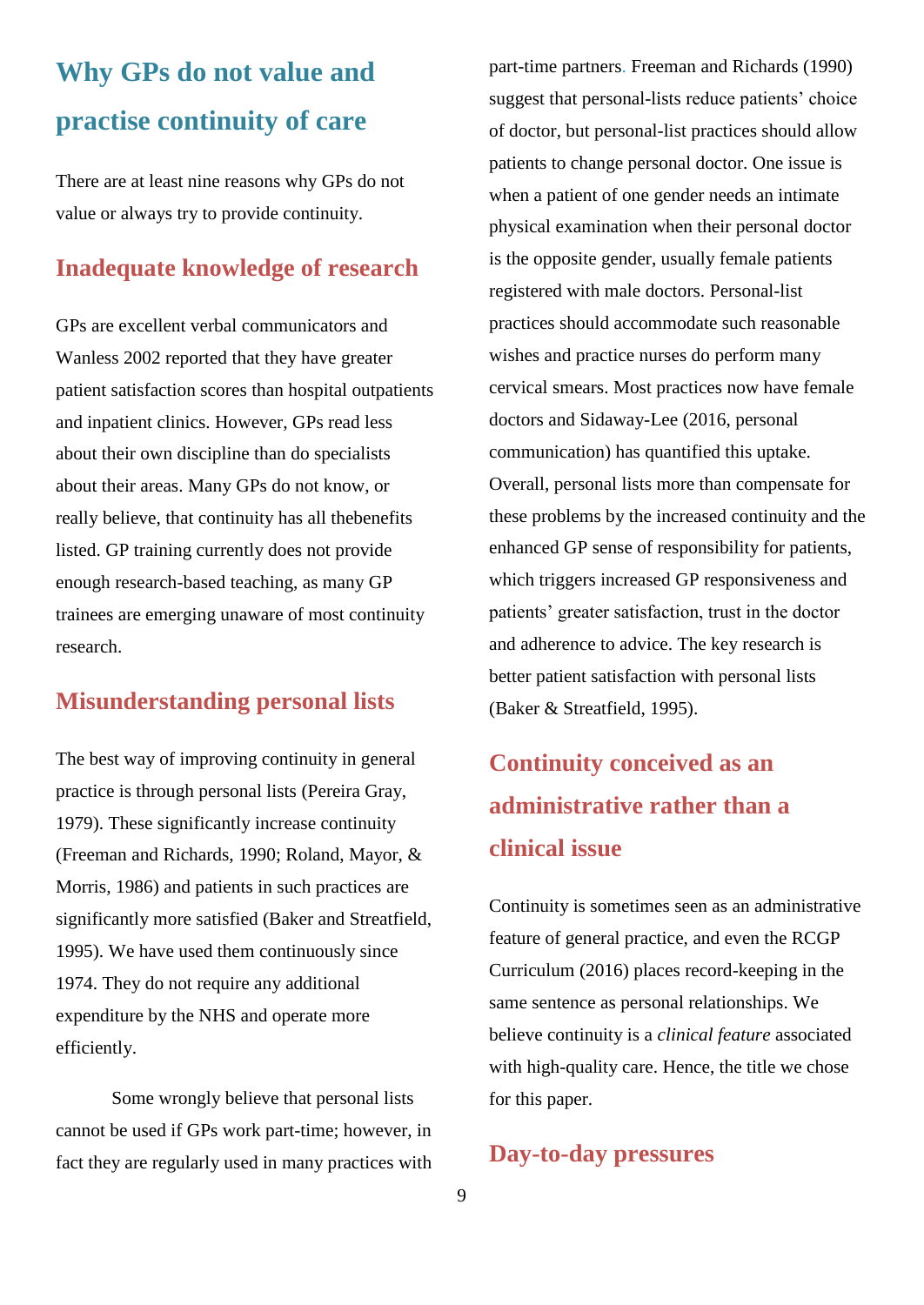## **Why GPs do not value and practise continuity of care**

There are at least nine reasons why GPs do not value or always try to provide continuity.

#### **Inadequate knowledge of research**

GPs are excellent verbal communicators and Wanless 2002 reported that they have greater patient satisfaction scores than hospital outpatients and inpatient clinics. However, GPs read less about their own discipline than do specialists about their areas. Many GPs do not know, or really believe, that continuity has all thebenefits listed. GP training currently does not provide enough research-based teaching, as many GP trainees are emerging unaware of most continuity research.

#### **Misunderstanding personal lists**

The best way of improving continuity in general practice is through personal lists (Pereira Gray, 1979). These significantly increase continuity (Freeman and Richards, 1990; Roland, Mayor, & Morris*,* 1986) and patients in such practices are significantly more satisfied (Baker and Streatfield, 1995). We have used them continuously since 1974. They do not require any additional expenditure by the NHS and operate more efficiently.

Some wrongly believe that personal lists cannot be used if GPs work part-time; however, in fact they are regularly used in many practices with

part-time partners. Freeman and Richards (1990) suggest that personal-lists reduce patients' choice of doctor, but personal-list practices should allow patients to change personal doctor. One issue is when a patient of one gender needs an intimate physical examination when their personal doctor is the opposite gender, usually female patients registered with male doctors. Personal-list practices should accommodate such reasonable wishes and practice nurses do perform many cervical smears. Most practices now have female doctors and Sidaway-Lee (2016, personal communication) has quantified this uptake. Overall, personal lists more than compensate for these problems by the increased continuity and the enhanced GP sense of responsibility for patients, which triggers increased GP responsiveness and patients' greater satisfaction, trust in the doctor and adherence to advice. The key research is better patient satisfaction with personal lists (Baker & Streatfield, 1995).

## **Continuity conceived as an administrative rather than a clinical issue**

Continuity is sometimes seen as an administrative feature of general practice, and even the RCGP Curriculum (2016) places record-keeping in the same sentence as personal relationships. We believe continuity is a *clinical feature* associated with high-quality care. Hence, the title we chose for this paper.

#### **Day-to-day pressures**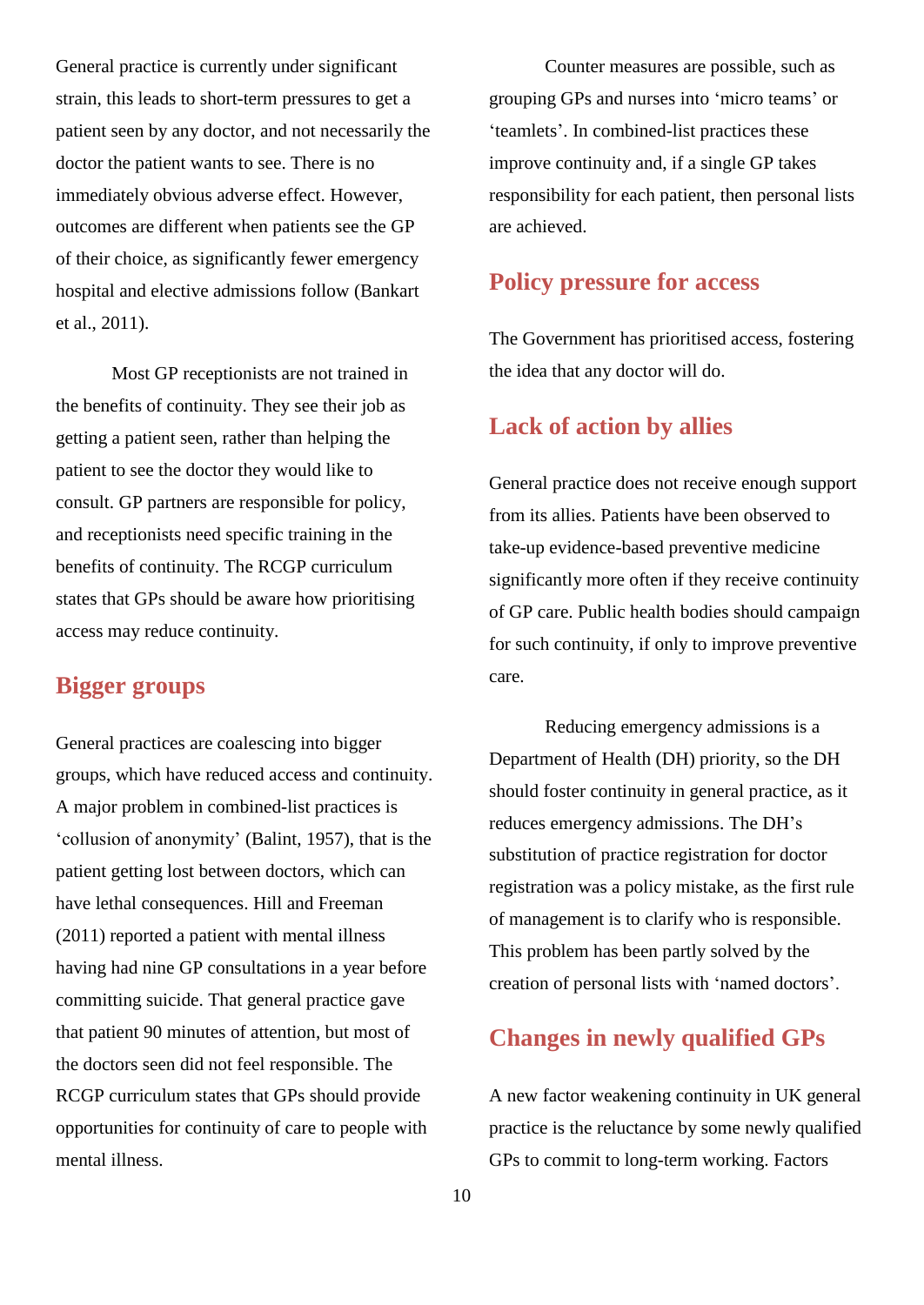General practice is currently under significant strain, this leads to short-term pressures to get a patient seen by any doctor, and not necessarily the doctor the patient wants to see. There is no immediately obvious adverse effect. However, outcomes are different when patients see the GP of their choice, as significantly fewer emergency hospital and elective admissions follow (Bankart et al., 2011).

Most GP receptionists are not trained in the benefits of continuity. They see their job as getting a patient seen, rather than helping the patient to see the doctor they would like to consult. GP partners are responsible for policy, and receptionists need specific training in the benefits of continuity. The RCGP curriculum states that GPs should be aware how prioritising access may reduce continuity.

#### **Bigger groups**

General practices are coalescing into bigger groups, which have reduced access and continuity. A major problem in combined-list practices is 'collusion of anonymity' (Balint, 1957), that is the patient getting lost between doctors, which can have lethal consequences. Hill and Freeman (2011) reported a patient with mental illness having had nine GP consultations in a year before committing suicide. That general practice gave that patient 90 minutes of attention, but most of the doctors seen did not feel responsible. The RCGP curriculum states that GPs should provide opportunities for continuity of care to people with mental illness.

Counter measures are possible, such as grouping GPs and nurses into 'micro teams' or 'teamlets'. In combined-list practices these improve continuity and, if a single GP takes responsibility for each patient, then personal lists are achieved.

#### **Policy pressure for access**

The Government has prioritised access, fostering the idea that any doctor will do.

#### **Lack of action by allies**

General practice does not receive enough support from its allies. Patients have been observed to take-up evidence-based preventive medicine significantly more often if they receive continuity of GP care. Public health bodies should campaign for such continuity, if only to improve preventive care.

Reducing emergency admissions is a Department of Health (DH) priority, so the DH should foster continuity in general practice, as it reduces emergency admissions. The DH's substitution of practice registration for doctor registration was a policy mistake, as the first rule of management is to clarify who is responsible. This problem has been partly solved by the creation of personal lists with 'named doctors'.

#### **Changes in newly qualified GPs**

A new factor weakening continuity in UK general practice is the reluctance by some newly qualified GPs to commit to long-term working. Factors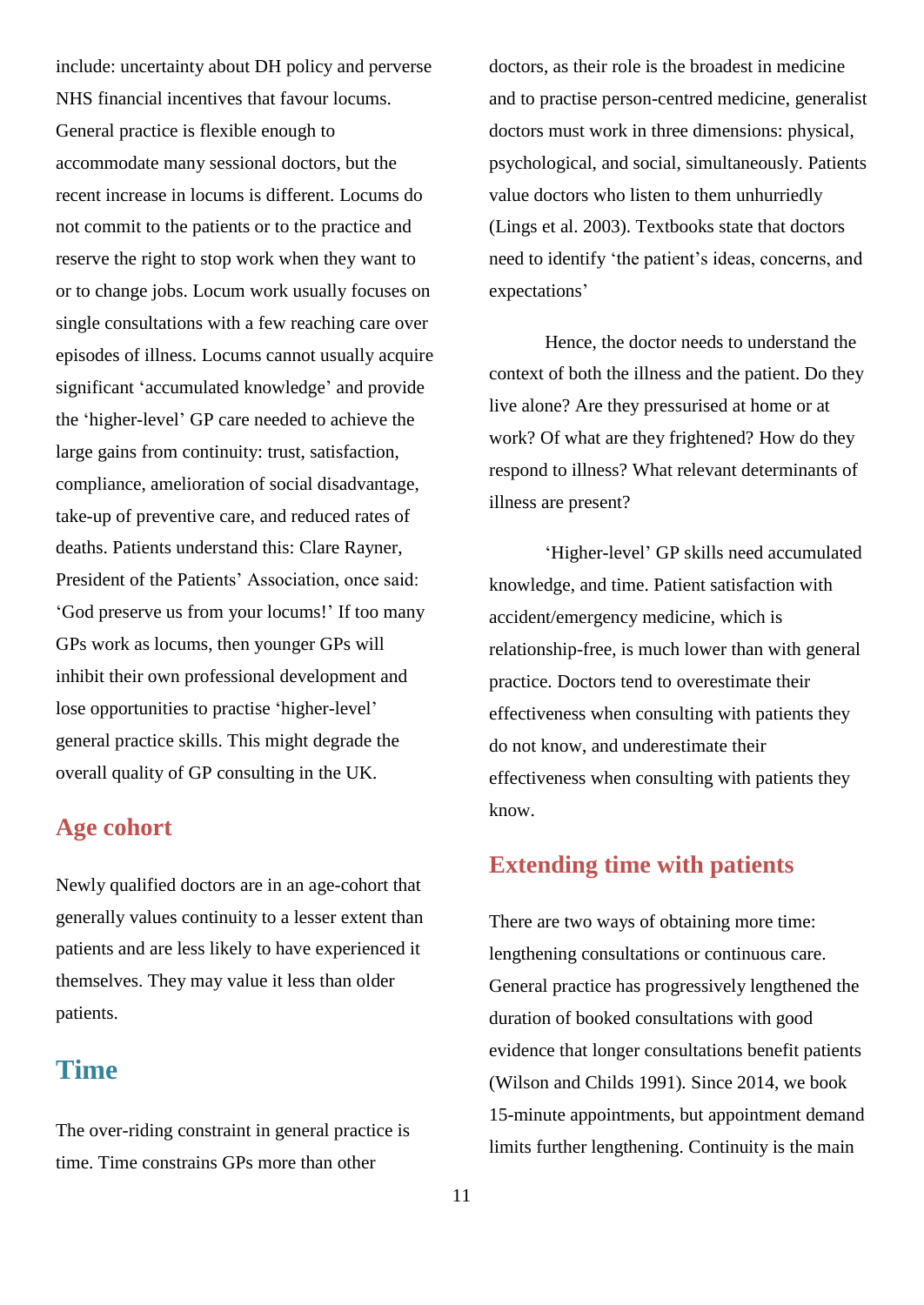include: uncertainty about DH policy and perverse NHS financial incentives that favour locums. General practice is flexible enough to accommodate many sessional doctors, but the recent increase in locums is different. Locums do not commit to the patients or to the practice and reserve the right to stop work when they want to or to change jobs. Locum work usually focuses on single consultations with a few reaching care over episodes of illness. Locums cannot usually acquire significant 'accumulated knowledge' and provide the 'higher-level' GP care needed to achieve the large gains from continuity: trust, satisfaction, compliance, amelioration of social disadvantage, take-up of preventive care, and reduced rates of deaths. Patients understand this: Clare Rayner, President of the Patients' Association, once said: 'God preserve us from your locums!' If too many GPs work as locums, then younger GPs will inhibit their own professional development and lose opportunities to practise 'higher-level' general practice skills. This might degrade the overall quality of GP consulting in the UK.

#### **Age cohort**

Newly qualified doctors are in an age-cohort that generally values continuity to a lesser extent than patients and are less likely to have experienced it themselves. They may value it less than older patients.

## **Time**

The over-riding constraint in general practice is time. Time constrains GPs more than other

doctors, as their role is the broadest in medicine and to practise person-centred medicine, generalist doctors must work in three dimensions: physical, psychological, and social, simultaneously. Patients value doctors who listen to them unhurriedly (Lings et al. 2003). Textbooks state that doctors need to identify 'the patient's ideas, concerns, and expectations'

Hence, the doctor needs to understand the context of both the illness and the patient. Do they live alone? Are they pressurised at home or at work? Of what are they frightened? How do they respond to illness? What relevant determinants of illness are present?

'Higher-level' GP skills need accumulated knowledge, and time. Patient satisfaction with accident/emergency medicine, which is relationship-free, is much lower than with general practice. Doctors tend to overestimate their effectiveness when consulting with patients they do not know, and underestimate their effectiveness when consulting with patients they know.

#### **Extending time with patients**

There are two ways of obtaining more time: lengthening consultations or continuous care. General practice has progressively lengthened the duration of booked consultations with good evidence that longer consultations benefit patients (Wilson and Childs 1991)*.* Since 2014, we book 15-minute appointments, but appointment demand limits further lengthening. Continuity is the main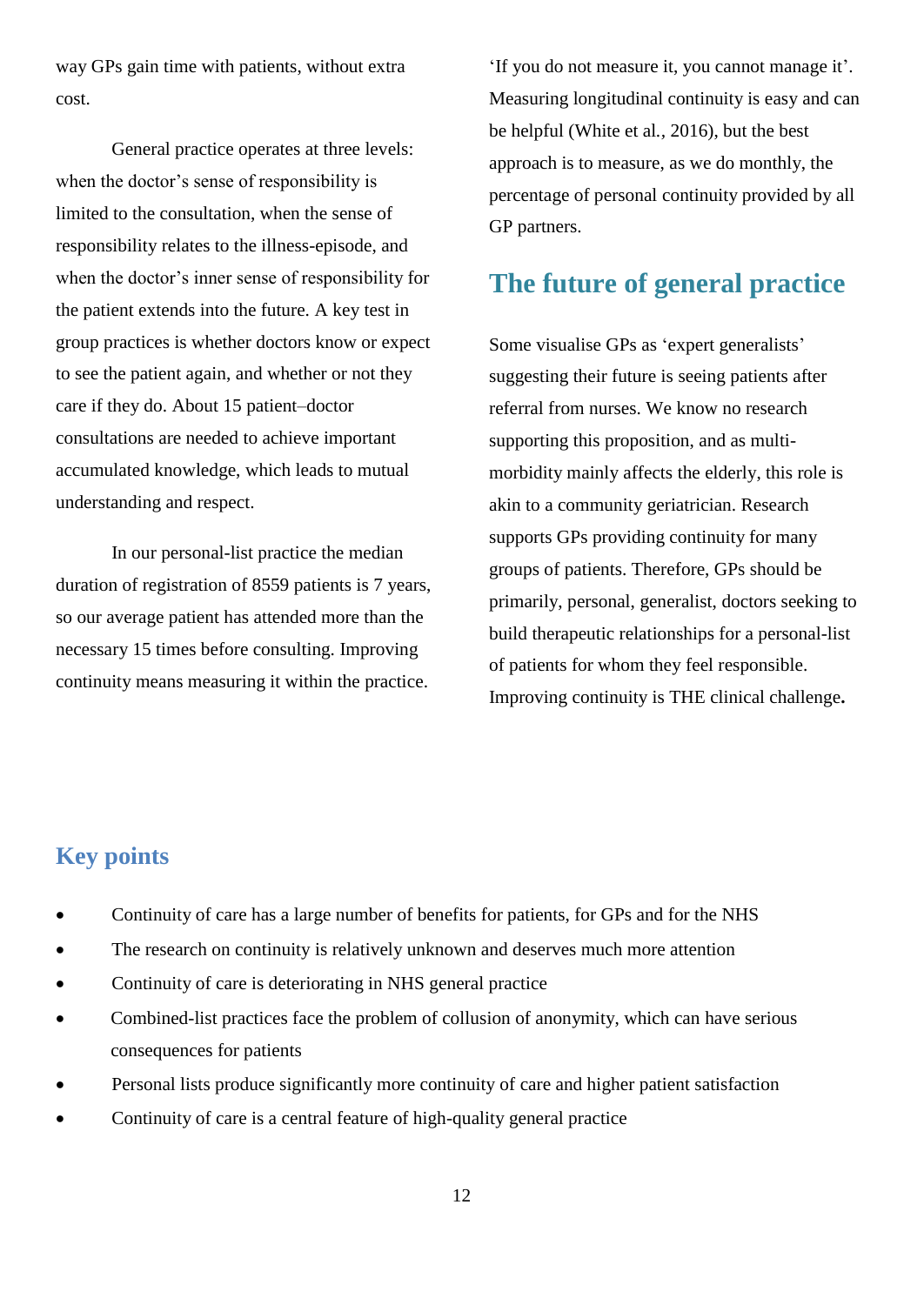way GPs gain time with patients, without extra cost.

General practice operates at three levels: when the doctor's sense of responsibility is limited to the consultation, when the sense of responsibility relates to the illness-episode, and when the doctor's inner sense of responsibility for the patient extends into the future. A key test in group practices is whether doctors know or expect to see the patient again, and whether or not they care if they do. About 15 patient–doctor consultations are needed to achieve important accumulated knowledge, which leads to mutual understanding and respect.

In our personal-list practice the median duration of registration of 8559 patients is 7 years, so our average patient has attended more than the necessary 15 times before consulting. Improving continuity means measuring it within the practice.

'If you do not measure it, you cannot manage it'. Measuring longitudinal continuity is easy and can be helpful (White et al*.,* 2016), but the best approach is to measure, as we do monthly, the percentage of personal continuity provided by all GP partners.

### **The future of general practice**

Some visualise GPs as 'expert generalists' suggesting their future is seeing patients after referral from nurses. We know no research supporting this proposition, and as multimorbidity mainly affects the elderly, this role is akin to a community geriatrician. Research supports GPs providing continuity for many groups of patients. Therefore, GPs should be primarily, personal, generalist, doctors seeking to build therapeutic relationships for a personal-list of patients for whom they feel responsible. Improving continuity is THE clinical challenge**.**

#### **Key points**

- Continuity of care has a large number of benefits for patients, for GPs and for the NHS
- The research on continuity is relatively unknown and deserves much more attention
- Continuity of care is deteriorating in NHS general practice
- Combined-list practices face the problem of collusion of anonymity, which can have serious consequences for patients
- Personal lists produce significantly more continuity of care and higher patient satisfaction
- Continuity of care is a central feature of high-quality general practice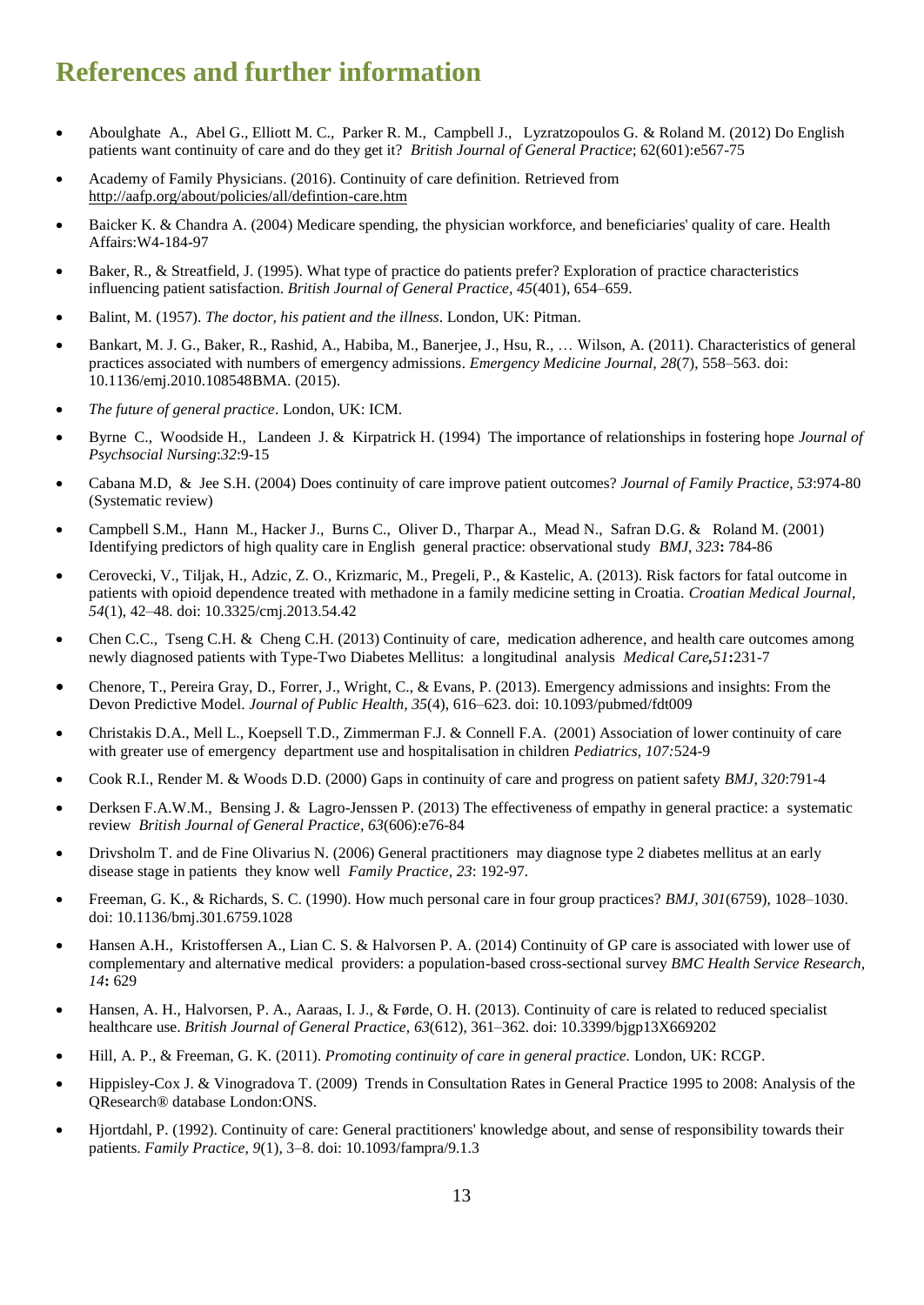## **References and further information**

- Aboulghate A., Abel G., Elliott M. C., Parker R. M., Campbell J., Lyzratzopoulos G. & Roland M. (2012) Do English patients want continuity of care and do they get it? *British Journal of General Practice*; 62(601):e567-75
- Academy of Family Physicians. (2016). Continuity of care definition. Retrieved from <http://aafp.org/about/policies/all/defintion-care.htm>
- Baicker K. & Chandra A. (2004) Medicare spending, the physician workforce, and beneficiaries' quality of care. Health Affairs:W4-184-97
- Baker, R., & Streatfield, J. (1995). What type of practice do patients prefer? Exploration of practice characteristics influencing patient satisfaction. *British Journal of General Practice, 45*(401), 654–659.
- Balint, M. (1957). *The doctor, his patient and the illness*. London, UK: Pitman.
- Bankart, M. J. G., Baker, R., Rashid, A., Habiba, M., Banerjee, J., Hsu, R., … Wilson, A. (2011). Characteristics of general practices associated with numbers of emergency admissions. *Emergency Medicine Journal, 28*(7), 558–563. doi: 10.1136/emj.2010.108548BMA. (2015).
- *The future of general practice*. London, UK: ICM.
- Byrne C., Woodside H., Landeen J. & Kirpatrick H. (1994) The importance of relationships in fostering hope *Journal of Psychsocial Nursing*:*32*:9-15
- Cabana M.D, & Jee S.H. (2004) Does continuity of care improve patient outcomes? *Journal of Family Practice*, *53*:974-80 (Systematic review)
- Campbell S.M., Hann M., Hacker J., Burns C., Oliver D., Tharpar A., Mead N., Safran D.G. & Roland M. (2001) Identifying predictors of high quality care in English general practice: observational study *BMJ*, *323***:** 784-86
- Cerovecki, V., Tiljak, H., Adzic, Z. O., Krizmaric, M., Pregeli, P., & Kastelic, A. (2013). Risk factors for fatal outcome in patients with opioid dependence treated with methadone in a family medicine setting in Croatia. *Croatian Medical Journal, 54*(1), 42–48. doi: 10.3325/cmj.2013.54.42
- Chen C.C., Tseng C.H. & Cheng C.H. (2013) Continuity of care, medication adherence, and health care outcomes among newly diagnosed patients with Type-Two Diabetes Mellitus: a longitudinal analysis *Medical Care,51***:**231-7
- Chenore, T., Pereira Gray, D., Forrer, J., Wright, C., & Evans, P. (2013). Emergency admissions and insights: From the Devon Predictive Model. *Journal of Public Health, 35*(4), 616–623. doi: 10.1093/pubmed/fdt009
- Christakis D.A., Mell L., Koepsell T.D., Zimmerman F.J. & Connell F.A. (2001) Association of lower continuity of care with greater use of emergency department use and hospitalisation in children *Pediatrics*, *107:*524-9
- Cook R.I., Render M. & Woods D.D. (2000) Gaps in continuity of care and progress on patient safety *BMJ*, *320*:791-4
- Derksen F.A.W.M., Bensing J. & Lagro-Jenssen P. (2013) The effectiveness of empathy in general practice: a systematic review *British Journal of General Practice, 63*(606):e76-84
- Drivsholm T. and de Fine Olivarius N. (2006) General practitioners may diagnose type 2 diabetes mellitus at an early disease stage in patients they know well *Family Practice, 23*: 192-97.
- Freeman, G. K., & Richards, S. C. (1990). How much personal care in four group practices? *BMJ, 301*(6759), 1028–1030. doi: 10.1136/bmj.301.6759.1028
- Hansen A.H., Kristoffersen A., Lian C. S. & Halvorsen P. A. (2014) Continuity of GP care is associated with lower use of complementary and alternative medical providers: a population-based cross-sectional survey *BMC Health Service Research, 14***:** 629
- Hansen, A. H., Halvorsen, P. A., Aaraas, I. J., & Førde, O. H. (2013). Continuity of care is related to reduced specialist healthcare use. *British Journal of General Practice, 63*(612), 361–362. doi: 10.3399/bjgp13X669202
- Hill, A. P., & Freeman, G. K. (2011). *Promoting continuity of care in general practice.* London, UK: RCGP.
- Hippisley-Cox J. & Vinogradova T. (2009) Trends in Consultation Rates in General Practice 1995 to 2008: Analysis of the QResearch® database London:ONS.
- Hjortdahl, P. (1992). Continuity of care: General practitioners' knowledge about, and sense of responsibility towards their patients. *Family Practice, 9*(1), 3–8. doi: 10.1093/fampra/9.1.3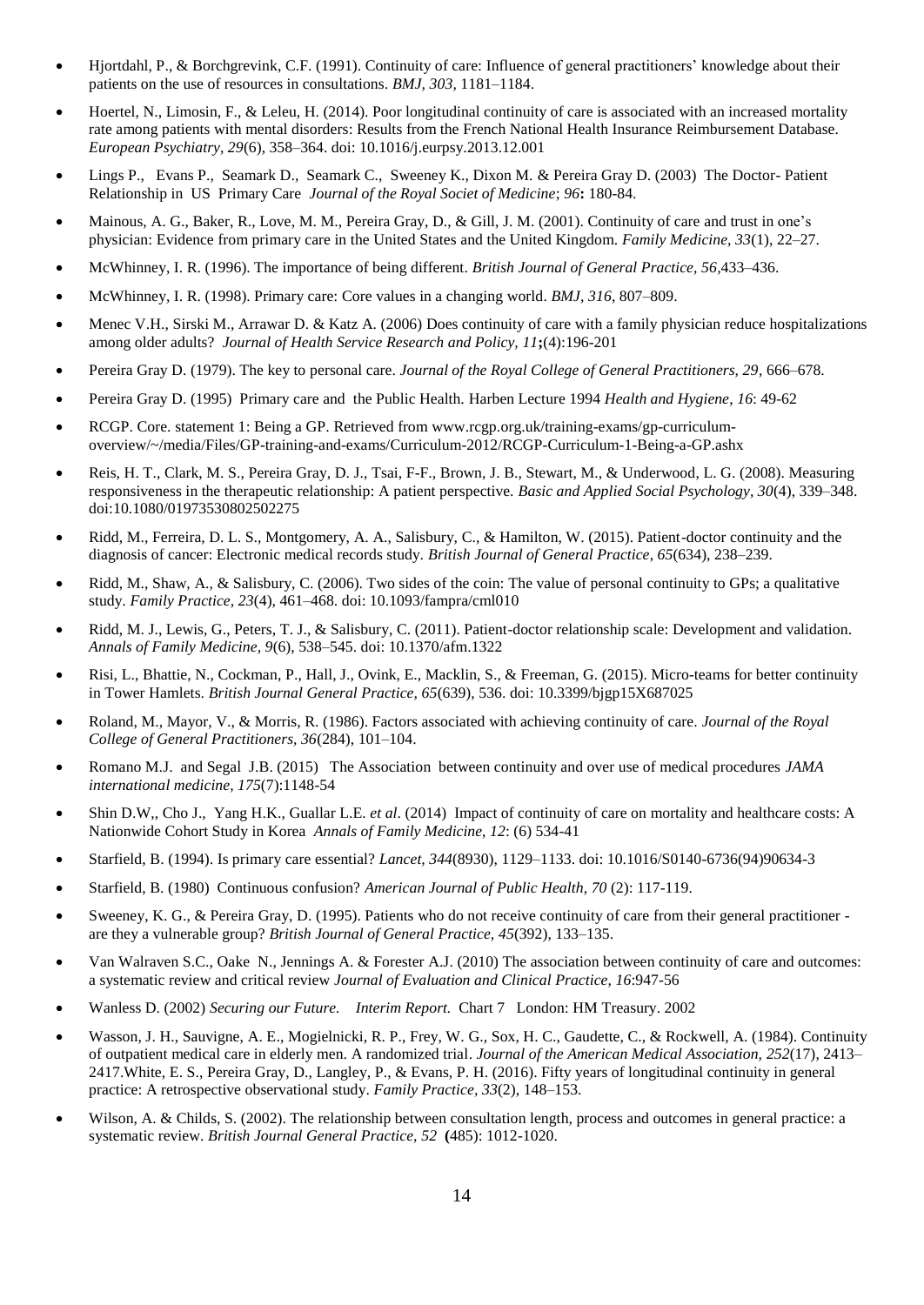- Hjortdahl, P., & Borchgrevink, C.F. (1991). Continuity of care: Influence of general practitioners' knowledge about their patients on the use of resources in consultations. *BMJ, 303,* 1181–1184.
- Hoertel, N., Limosin, F., & Leleu, H. (2014). Poor longitudinal continuity of care is associated with an increased mortality rate among patients with mental disorders: Results from the French National Health Insurance Reimbursement Database. *European Psychiatry, 29*(6), 358–364. doi: 10.1016/j.eurpsy.2013.12.001
- Lings P., Evans P., Seamark D., Seamark C., Sweeney K., Dixon M. & Pereira Gray D. (2003) The Doctor- Patient Relationship in US Primary Care *Journal of the Royal Societ of Medicine*; *96***:** 180-84.
- Mainous, A. G., Baker, R., Love, M. M., Pereira Gray, D., & Gill, J. M. (2001). Continuity of care and trust in one's physician: Evidence from primary care in the United States and the United Kingdom. *Family Medicine, 33*(1), 22–27.
- McWhinney, I. R. (1996). The importance of being different. *British Journal of General Practice, 56,*433–436.
- McWhinney, I. R. (1998). Primary care: Core values in a changing world. *BMJ, 316*, 807–809.
- Menec V.H., Sirski M., Arrawar D. & Katz A. (2006) Does continuity of care with a family physician reduce hospitalizations among older adults? *Journal of Health Service Research and Policy, 11***;**(4):196-201
- Pereira Gray D. (1979). The key to personal care. *Journal of the Royal College of General Practitioners, 29,* 666–678.
- Pereira Gray D. (1995) Primary care and the Public Health. Harben Lecture 1994 *Health and Hygiene*, *16*: 49-62
- RCGP. Core. statement 1: Being a GP. Retrieved from www.rcgp.org.uk/training-exams/gp-curriculumoverview/~/media/Files/GP-training-and-exams/Curriculum-2012/RCGP-Curriculum-1-Being-a-GP.ashx
- Reis, H. T., Clark, M. S., Pereira Gray, D. J., Tsai, F-F., Brown, J. B., Stewart, M., & Underwood, L. G. (2008). Measuring responsiveness in the therapeutic relationship: A patient perspective. *Basic and Applied Social Psychology, 30*(4), 339–348. doi:10.1080/01973530802502275
- Ridd, M., Ferreira, D. L. S., Montgomery, A. A., Salisbury, C., & Hamilton, W. (2015). Patient-doctor continuity and the diagnosis of cancer: Electronic medical records study. *British Journal of General Practice*, *65*(634), 238–239.
- Ridd, M., Shaw, A., & Salisbury, C. (2006). Two sides of the coin: The value of personal continuity to GPs; a qualitative study. *Family Practice, 23*(4), 461–468. doi: 10.1093/fampra/cml010
- Ridd, M. J., Lewis, G., Peters, T. J., & Salisbury, C. (2011). Patient-doctor relationship scale: Development and validation. *Annals of Family Medicine, 9*(6), 538–545. doi: 10.1370/afm.1322
- Risi, L., Bhattie, N., Cockman, P., Hall, J., Ovink, E., Macklin, S., & Freeman, G. (2015). Micro-teams for better continuity in Tower Hamlets. *British Journal General Practice, 65*(639), 536. doi: 10.3399/bjgp15X687025
- Roland, M., Mayor, V., & Morris, R. (1986). Factors associated with achieving continuity of care. *Journal of the Royal College of General Practitioners, 36*(284), 101–104.
- Romano M.J. and Segal J.B. (2015) The Association between continuity and over use of medical procedures *JAMA international medicine, 175*(7):1148-54
- Shin D.W,, Cho J., Yang H.K., Guallar L.E. *et al*. (2014) Impact of continuity of care on mortality and healthcare costs: A Nationwide Cohort Study in Korea *Annals of Family Medicine*, *12*: (6) 534-41
- Starfield, B. (1994). Is primary care essential? *Lancet, 344*(8930), 1129–1133. doi: 10.1016/S0140-6736(94)90634-3
- Starfield, B. (1980) Continuous confusion? *American Journal of Public Health*, *70* (2): 117-119.
- Sweeney, K. G., & Pereira Gray, D. (1995). Patients who do not receive continuity of care from their general practitioner are they a vulnerable group? *British Journal of General Practice, 45*(392), 133–135.
- Van Walraven S.C., Oake N., Jennings A. & Forester A.J. (2010) The association between continuity of care and outcomes: a systematic review and critical review *Journal of Evaluation and Clinical Practice*, *16*:947-56
- Wanless D. (2002) *Securing our Future. Interim Report.* Chart 7 London: HM Treasury. 2002
- Wasson, J. H., Sauvigne, A. E., Mogielnicki, R. P., Frey, W. G., Sox, H. C., Gaudette, C., & Rockwell, A. (1984). Continuity of outpatient medical care in elderly men. A randomized trial. *Journal of the American Medical Association, 252*(17), 2413– 2417.White, E. S., Pereira Gray, D., Langley, P., & Evans, P. H. (2016). Fifty years of longitudinal continuity in general practice: A retrospective observational study. *Family Practice, 33*(2), 148–153.
- Wilson, A. & Childs, S. (2002). The relationship between consultation length, process and outcomes in general practice: a systematic review. *British Journal General Practice, 52* **(**485): 1012-1020.